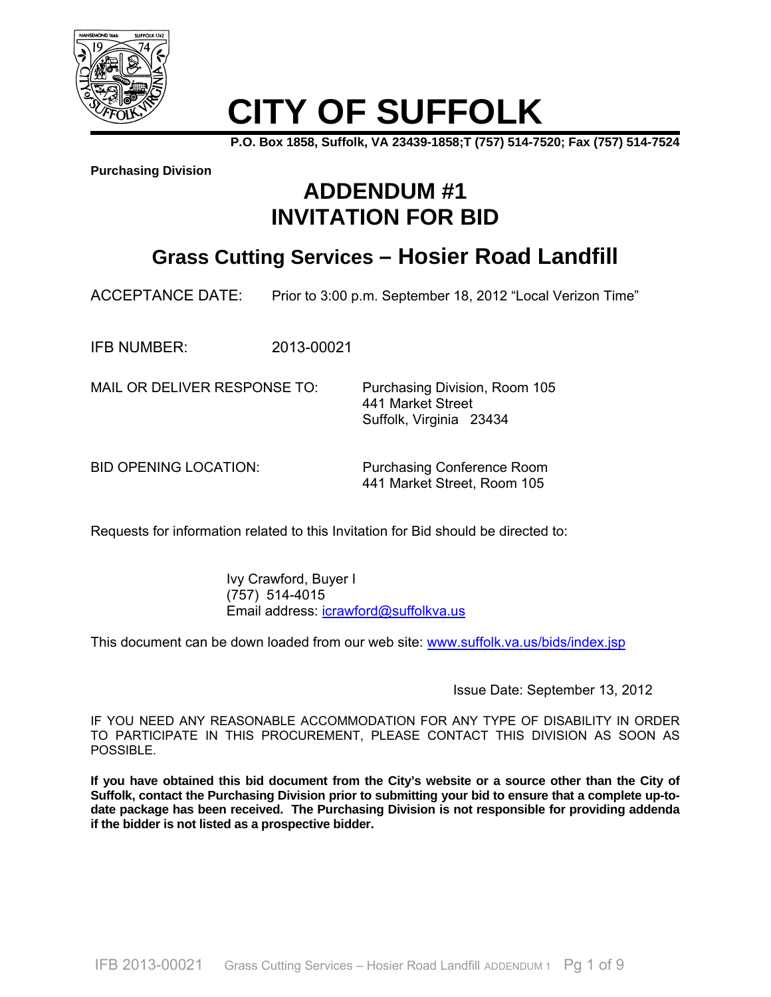

# **CITY OF SUFFOLK**

**P.O. Box 1858, Suffolk, VA 23439-1858;T (757) 514-7520; Fax (757) 514-7524** 

**Purchasing Division**

## **ADDENDUM #1 INVITATION FOR BID**

### **Grass Cutting Services – Hosier Road Landfill**

ACCEPTANCE DATE: Prior to 3:00 p.m. September 18, 2012 "Local Verizon Time"

IFB NUMBER: 2013-00021

MAIL OR DELIVER RESPONSE TO: Purchasing Division, Room 105

 441 Market Street Suffolk, Virginia 23434

BID OPENING LOCATION: Purchasing Conference Room 441 Market Street, Room 105

Requests for information related to this Invitation for Bid should be directed to:

 Ivy Crawford, Buyer I (757) 514-4015 Email address: icrawford@suffolkva.us

This document can be down loaded from our web site: www.suffolk.va.us/bids/index.jsp

Issue Date: September 13, 2012

IF YOU NEED ANY REASONABLE ACCOMMODATION FOR ANY TYPE OF DISABILITY IN ORDER TO PARTICIPATE IN THIS PROCUREMENT, PLEASE CONTACT THIS DIVISION AS SOON AS POSSIBLE.

**If you have obtained this bid document from the City's website or a source other than the City of Suffolk, contact the Purchasing Division prior to submitting your bid to ensure that a complete up-todate package has been received. The Purchasing Division is not responsible for providing addenda if the bidder is not listed as a prospective bidder.**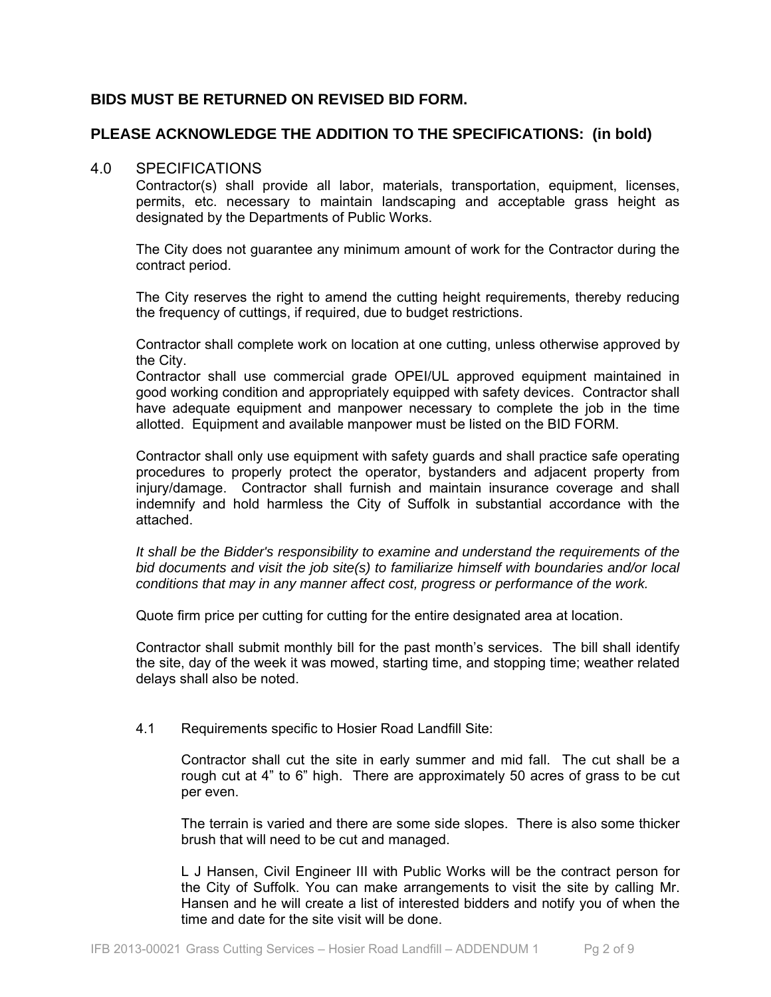### **BIDS MUST BE RETURNED ON REVISED BID FORM.**

### **PLEASE ACKNOWLEDGE THE ADDITION TO THE SPECIFICATIONS: (in bold)**

### 4.0 SPECIFICATIONS

Contractor(s) shall provide all labor, materials, transportation, equipment, licenses, permits, etc. necessary to maintain landscaping and acceptable grass height as designated by the Departments of Public Works.

The City does not guarantee any minimum amount of work for the Contractor during the contract period.

The City reserves the right to amend the cutting height requirements, thereby reducing the frequency of cuttings, if required, due to budget restrictions.

Contractor shall complete work on location at one cutting, unless otherwise approved by the City.

Contractor shall use commercial grade OPEI/UL approved equipment maintained in good working condition and appropriately equipped with safety devices. Contractor shall have adequate equipment and manpower necessary to complete the job in the time allotted. Equipment and available manpower must be listed on the BID FORM.

Contractor shall only use equipment with safety guards and shall practice safe operating procedures to properly protect the operator, bystanders and adjacent property from injury/damage. Contractor shall furnish and maintain insurance coverage and shall indemnify and hold harmless the City of Suffolk in substantial accordance with the attached.

*It shall be the Bidder's responsibility to examine and understand the requirements of the bid documents and visit the job site(s) to familiarize himself with boundaries and/or local conditions that may in any manner affect cost, progress or performance of the work.* 

Quote firm price per cutting for cutting for the entire designated area at location.

Contractor shall submit monthly bill for the past month's services. The bill shall identify the site, day of the week it was mowed, starting time, and stopping time; weather related delays shall also be noted.

4.1 Requirements specific to Hosier Road Landfill Site:

Contractor shall cut the site in early summer and mid fall. The cut shall be a rough cut at 4" to 6" high. There are approximately 50 acres of grass to be cut per even.

The terrain is varied and there are some side slopes. There is also some thicker brush that will need to be cut and managed.

L J Hansen, Civil Engineer III with Public Works will be the contract person for the City of Suffolk. You can make arrangements to visit the site by calling Mr. Hansen and he will create a list of interested bidders and notify you of when the time and date for the site visit will be done.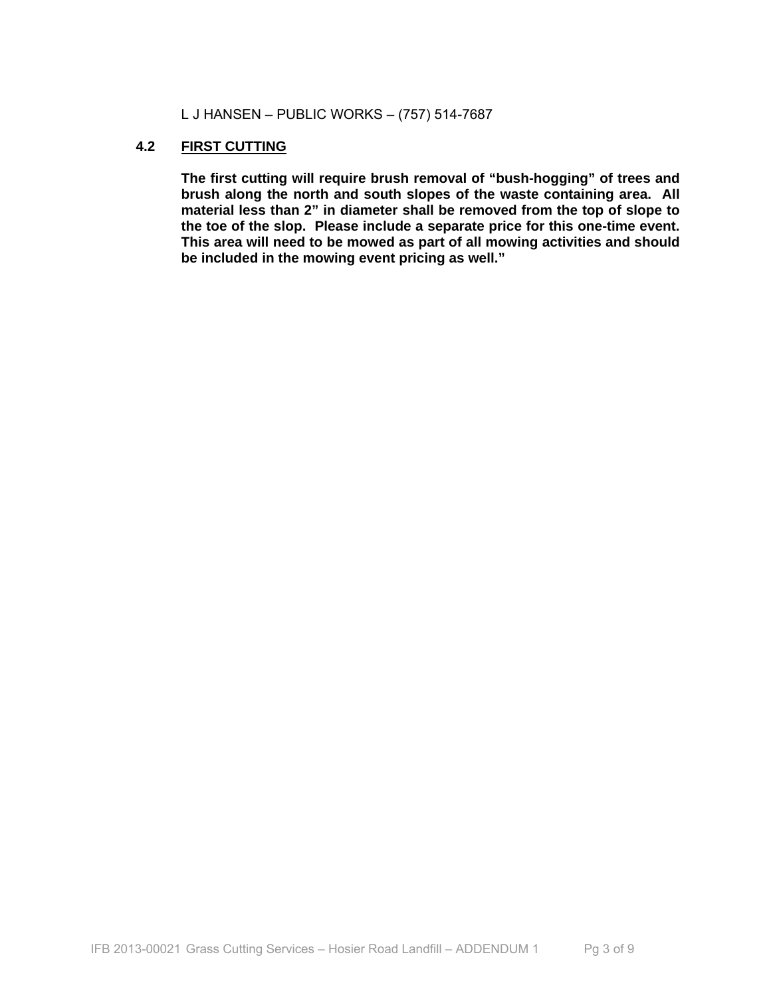L J HANSEN – PUBLIC WORKS – (757) 514-7687

### **4.2 FIRST CUTTING**

**The first cutting will require brush removal of "bush-hogging" of trees and brush along the north and south slopes of the waste containing area. All material less than 2" in diameter shall be removed from the top of slope to the toe of the slop. Please include a separate price for this one-time event. This area will need to be mowed as part of all mowing activities and should be included in the mowing event pricing as well."**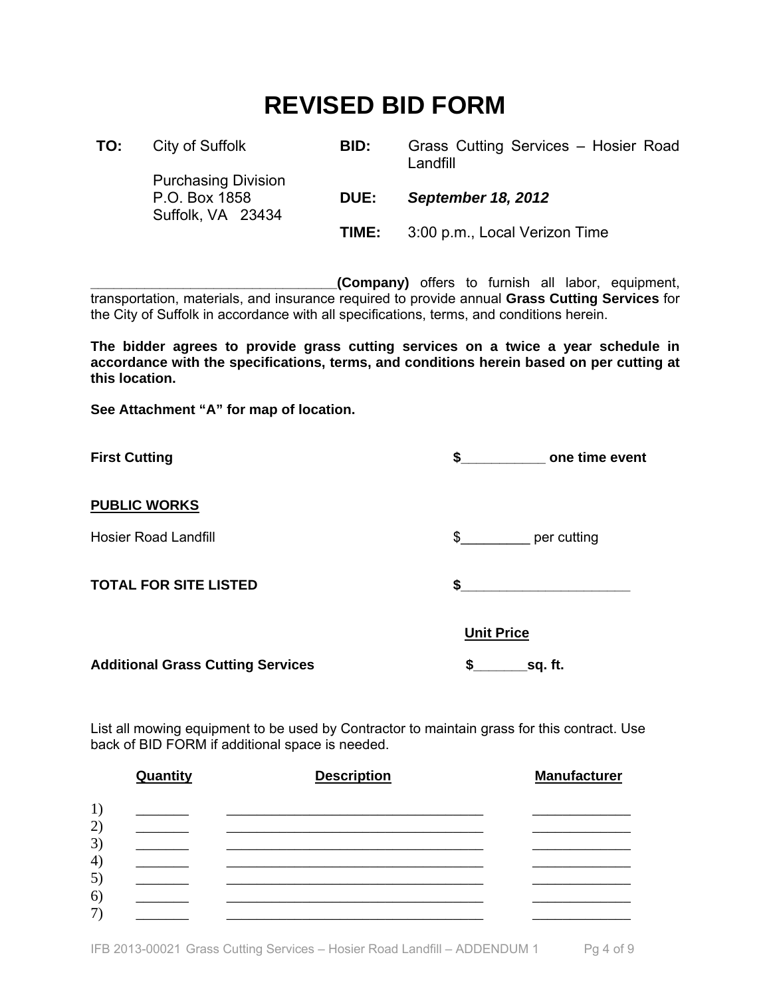# **REVISED BID FORM**

| TO: | City of Suffolk                                                  | BID:  | Grass Cutting Services - Hosier Road<br>Landfill |
|-----|------------------------------------------------------------------|-------|--------------------------------------------------|
|     | <b>Purchasing Division</b><br>P.O. Box 1858<br>Suffolk, VA 23434 | DUE:  | <b>September 18, 2012</b>                        |
|     |                                                                  | TIME: | 3:00 p.m., Local Verizon Time                    |

**\_\_\_\_\_\_\_\_\_\_\_\_\_\_\_\_\_\_\_\_\_\_\_\_\_\_\_\_\_\_\_\_(Company)** offers to furnish all labor, equipment, transportation, materials, and insurance required to provide annual **Grass Cutting Services** for the City of Suffolk in accordance with all specifications, terms, and conditions herein.

**The bidder agrees to provide grass cutting services on a twice a year schedule in accordance with the specifications, terms, and conditions herein based on per cutting at this location.** 

**See Attachment "A" for map of location.** 

| <b>First Cutting</b>                     | \$                | one time event |
|------------------------------------------|-------------------|----------------|
| <b>PUBLIC WORKS</b>                      |                   |                |
| <b>Hosier Road Landfill</b>              | $\frac{1}{2}$     | per cutting    |
| <b>TOTAL FOR SITE LISTED</b>             | S.                |                |
|                                          | <b>Unit Price</b> |                |
| <b>Additional Grass Cutting Services</b> | \$                | sq. ft.        |

List all mowing equipment to be used by Contractor to maintain grass for this contract. Use back of BID FORM if additional space is needed.

|          | Quantity | <b>Description</b> | <b>Manufacturer</b> |
|----------|----------|--------------------|---------------------|
| 1)       |          |                    |                     |
| 2)       |          |                    |                     |
| 3)<br>4) |          |                    |                     |
| 5)       |          |                    |                     |
| 6)<br>7) |          |                    |                     |
|          |          |                    |                     |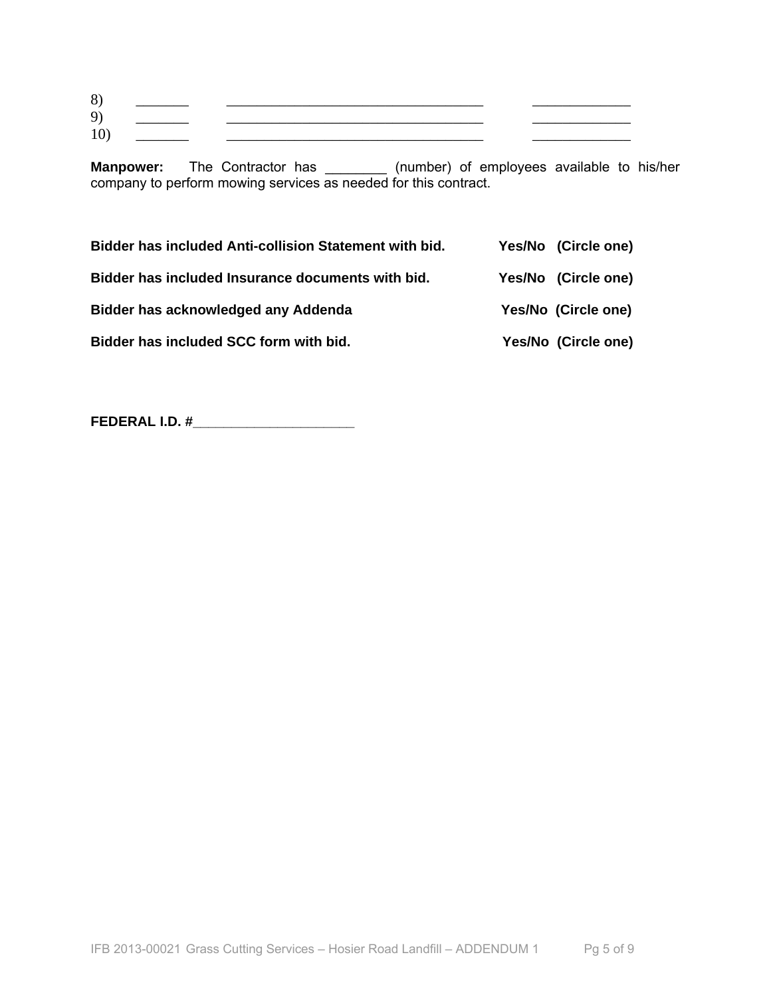| 8)  | <u> 1986 - Andrea Albert III, populație de la programa de la programa de la programa de la programa de la program</u> |                                                                                 |  |
|-----|-----------------------------------------------------------------------------------------------------------------------|---------------------------------------------------------------------------------|--|
| 9)  | $\overline{\phantom{a}}$ . The contract of $\overline{\phantom{a}}$                                                   |                                                                                 |  |
| 10, |                                                                                                                       | the contract of the contract of the contract of the contract of the contract of |  |

**Manpower:** The Contractor has \_\_\_\_\_\_\_\_ (number) of employees available to his/her company to perform mowing services as needed for this contract.

| <b>Bidder has included Anti-collision Statement with bid.</b> | Yes/No (Circle one) |
|---------------------------------------------------------------|---------------------|
| Bidder has included Insurance documents with bid.             | Yes/No (Circle one) |
| Bidder has acknowledged any Addenda                           | Yes/No (Circle one) |
| Bidder has included SCC form with bid.                        | Yes/No (Circle one) |

**FEDERAL I.D. #\_\_\_\_\_\_\_\_\_\_\_\_\_\_\_\_\_\_\_\_\_**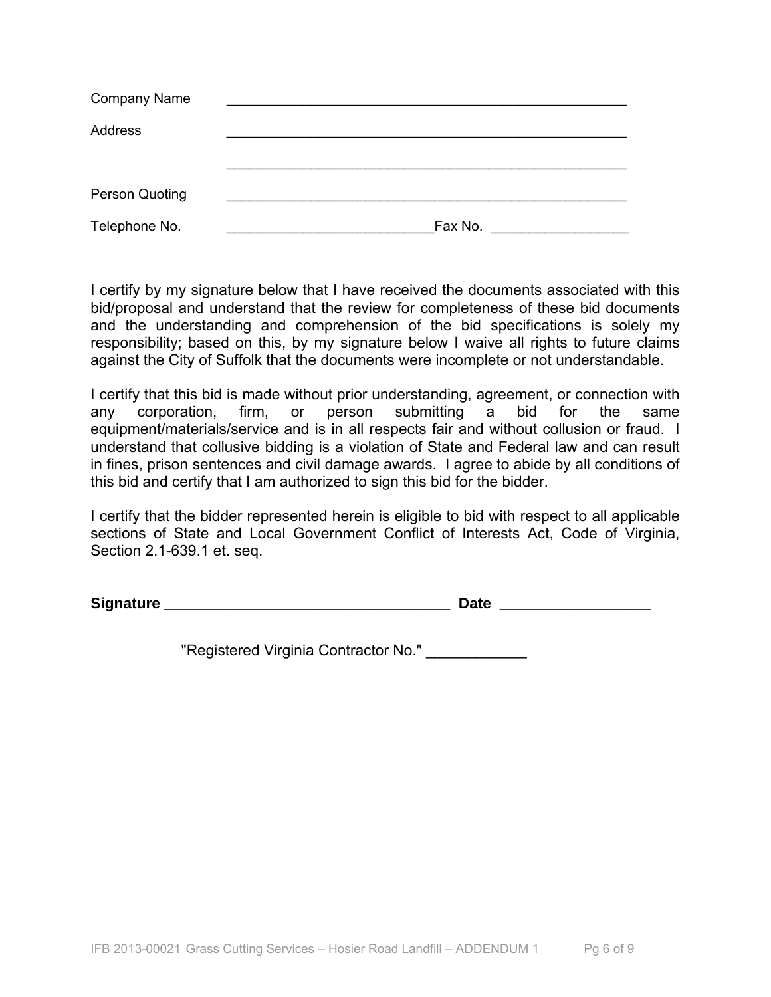| <b>Company Name</b>   |         |
|-----------------------|---------|
| Address               |         |
|                       |         |
|                       |         |
| <b>Person Quoting</b> |         |
| Telephone No.         | Fax No. |

I certify by my signature below that I have received the documents associated with this bid/proposal and understand that the review for completeness of these bid documents and the understanding and comprehension of the bid specifications is solely my responsibility; based on this, by my signature below I waive all rights to future claims against the City of Suffolk that the documents were incomplete or not understandable.

I certify that this bid is made without prior understanding, agreement, or connection with any corporation, firm, or person submitting a bid for the same equipment/materials/service and is in all respects fair and without collusion or fraud. I understand that collusive bidding is a violation of State and Federal law and can result in fines, prison sentences and civil damage awards. I agree to abide by all conditions of this bid and certify that I am authorized to sign this bid for the bidder.

I certify that the bidder represented herein is eligible to bid with respect to all applicable sections of State and Local Government Conflict of Interests Act, Code of Virginia, Section 2.1-639.1 et. seq.

**Signature Signature** *Contract CONSIDERS <b>Date CONSIDERS <b>Date* 

"Registered Virginia Contractor No." \_\_\_\_\_\_\_\_\_\_\_\_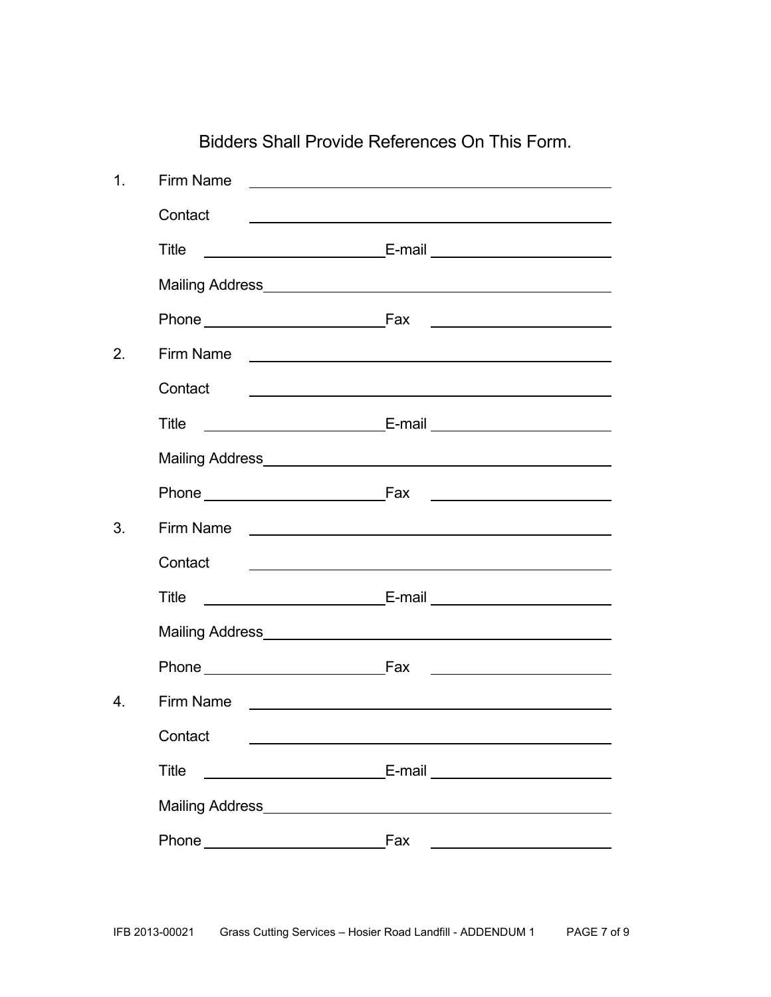| 1 <sub>1</sub>   | Firm Name                              | <u> 1980 - Andrea Andrew Maria (h. 1980).</u>                                                                        |
|------------------|----------------------------------------|----------------------------------------------------------------------------------------------------------------------|
|                  | Contact                                |                                                                                                                      |
|                  |                                        |                                                                                                                      |
|                  | Title                                  |                                                                                                                      |
|                  |                                        |                                                                                                                      |
|                  |                                        |                                                                                                                      |
| 2.               | Firm Name <u>experience</u>            |                                                                                                                      |
|                  | Contact                                |                                                                                                                      |
|                  | Title                                  |                                                                                                                      |
|                  | Mailing Address Manual Mailing Address |                                                                                                                      |
|                  |                                        | Phone Fax Fax Fax Phone Phone                                                                                        |
| 3.               |                                        |                                                                                                                      |
|                  | Contact                                | <u> Alexandria de la contrada de la contrada de la contrada de la contrada de la contrada de la contrada de la c</u> |
|                  | <b>Title</b>                           |                                                                                                                      |
|                  |                                        |                                                                                                                      |
|                  | Phone Fax                              | <u> 1989 - Johann Barbara, martin a</u>                                                                              |
| $\overline{4}$ . | Firm Name                              | <u> 1980 - Johann John Stone, markin f</u>                                                                           |
|                  | Contact                                |                                                                                                                      |
|                  | <b>Title</b>                           | E-mail _________________________                                                                                     |
|                  |                                        |                                                                                                                      |
|                  |                                        |                                                                                                                      |
|                  |                                        |                                                                                                                      |

Bidders Shall Provide References On This Form.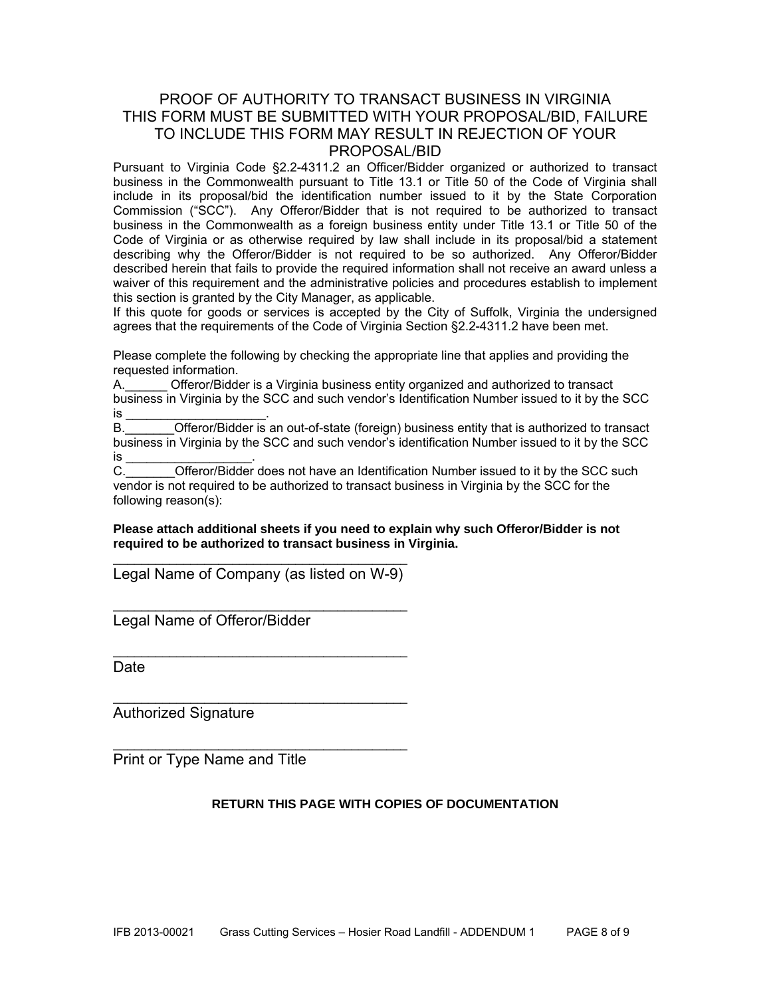### PROOF OF AUTHORITY TO TRANSACT BUSINESS IN VIRGINIA THIS FORM MUST BE SUBMITTED WITH YOUR PROPOSAL/BID, FAILURE TO INCLUDE THIS FORM MAY RESULT IN REJECTION OF YOUR PROPOSAL/BID

Pursuant to Virginia Code §2.2-4311.2 an Officer/Bidder organized or authorized to transact business in the Commonwealth pursuant to Title 13.1 or Title 50 of the Code of Virginia shall include in its proposal/bid the identification number issued to it by the State Corporation Commission ("SCC"). Any Offeror/Bidder that is not required to be authorized to transact business in the Commonwealth as a foreign business entity under Title 13.1 or Title 50 of the Code of Virginia or as otherwise required by law shall include in its proposal/bid a statement describing why the Offeror/Bidder is not required to be so authorized. Any Offeror/Bidder described herein that fails to provide the required information shall not receive an award unless a waiver of this requirement and the administrative policies and procedures establish to implement this section is granted by the City Manager, as applicable.

If this quote for goods or services is accepted by the City of Suffolk, Virginia the undersigned agrees that the requirements of the Code of Virginia Section §2.2-4311.2 have been met.

Please complete the following by checking the appropriate line that applies and providing the requested information.

A.\_\_\_\_\_\_ Offeror/Bidder is a Virginia business entity organized and authorized to transact business in Virginia by the SCC and such vendor's Identification Number issued to it by the SCC is \_\_\_\_\_\_\_\_\_\_\_\_\_\_\_\_\_\_\_\_\_\_\_\_\_\_\_\_\_\_\_\_.

B. **Combinder Offeror/Bidder is an out-of-state (foreign) business entity that is authorized to transact** business in Virginia by the SCC and such vendor's identification Number issued to it by the SCC is \_<br>C.

Offeror/Bidder does not have an Identification Number issued to it by the SCC such vendor is not required to be authorized to transact business in Virginia by the SCC for the following reason(s):

**Please attach additional sheets if you need to explain why such Offeror/Bidder is not required to be authorized to transact business in Virginia.** 

 $\overline{\phantom{a}}$  , and the contract of the contract of the contract of the contract of the contract of the contract of the contract of the contract of the contract of the contract of the contract of the contract of the contrac Legal Name of Company (as listed on W-9)

 $\overline{\phantom{a}}$  , and the contract of the contract of the contract of the contract of the contract of the contract of the contract of the contract of the contract of the contract of the contract of the contract of the contrac

\_\_\_\_\_\_\_\_\_\_\_\_\_\_\_\_\_\_\_\_\_\_\_\_\_\_\_\_\_\_\_\_\_\_\_\_\_\_\_\_\_\_

\_\_\_\_\_\_\_\_\_\_\_\_\_\_\_\_\_\_\_\_\_\_\_\_\_\_\_\_\_\_\_\_\_\_\_\_\_\_\_\_\_\_

\_\_\_\_\_\_\_\_\_\_\_\_\_\_\_\_\_\_\_\_\_\_\_\_\_\_\_\_\_\_\_\_\_\_\_\_\_\_\_\_\_\_

Legal Name of Offeror/Bidder

**Date** 

Authorized Signature

Print or Type Name and Title

### **RETURN THIS PAGE WITH COPIES OF DOCUMENTATION**